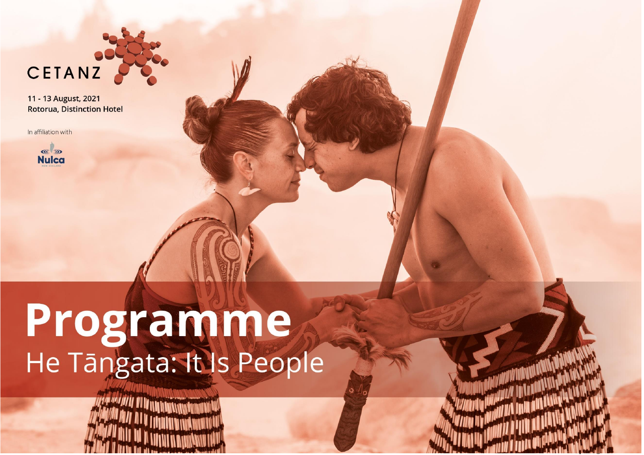

In affiliation with



# Programme

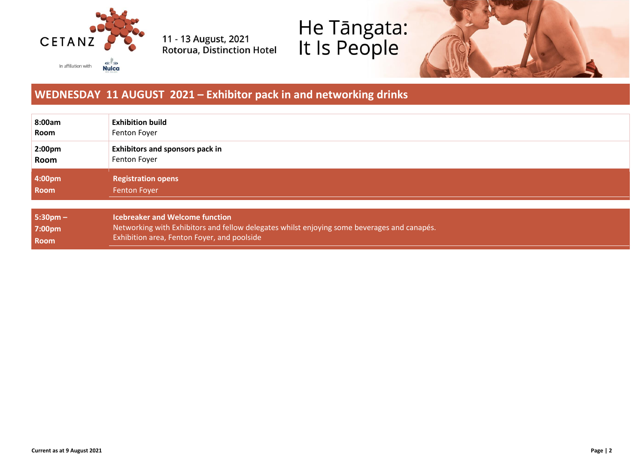

# He Tāngata:<br>It Is People



#### **WEDNESDAY 11 AUGUST 2021 – Exhibitor pack in and networking drinks**

| 8:00am             | <b>Exhibition build</b>                                                                     |
|--------------------|---------------------------------------------------------------------------------------------|
| Room               | Fenton Foyer                                                                                |
| 2:00 <sub>pm</sub> | <b>Exhibitors and sponsors pack in</b>                                                      |
| Room               | Fenton Foyer                                                                                |
| 4:00pm             | <b>Registration opens</b>                                                                   |
| <b>Room</b>        | <b>Fenton Foyer</b>                                                                         |
| $5:30 \text{pm} -$ | <b>Icebreaker and Welcome function</b>                                                      |
| 7:00pm             | Networking with Exhibitors and fellow delegates whilst enjoying some beverages and canapés. |
| Room               | Exhibition area, Fenton Foyer, and poolside                                                 |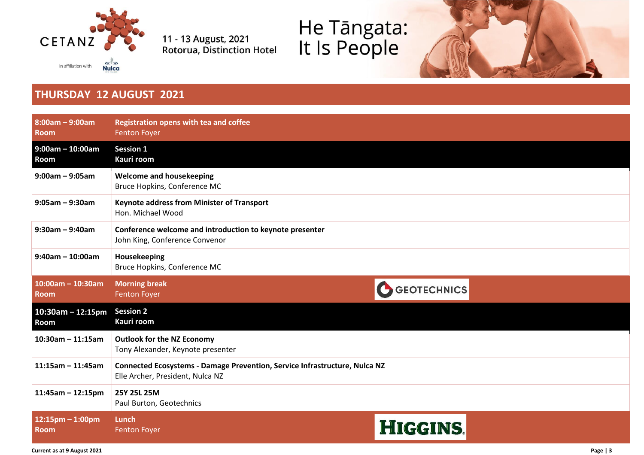

# He Tāngata:<br>It Is People



#### **THURSDAY 12 AUGUST 2021**

| $8:00am - 9:00am$<br><b>Room</b>    | <b>Registration opens with tea and coffee</b><br><b>Fenton Foyer</b>                                           |                    |  |
|-------------------------------------|----------------------------------------------------------------------------------------------------------------|--------------------|--|
| $9:00am - 10:00am$<br>Room          | <b>Session 1</b><br>Kauri room                                                                                 |                    |  |
| $9:00am - 9:05am$                   | <b>Welcome and housekeeping</b><br>Bruce Hopkins, Conference MC                                                |                    |  |
| $9:05$ am - $9:30$ am               | <b>Keynote address from Minister of Transport</b><br>Hon. Michael Wood                                         |                    |  |
| $9:30am - 9:40am$                   | Conference welcome and introduction to keynote presenter<br>John King, Conference Convenor                     |                    |  |
| $9:40$ am - 10:00am                 | Housekeeping<br>Bruce Hopkins, Conference MC                                                                   |                    |  |
| $10:00$ am - 10:30am<br><b>Room</b> | <b>Morning break</b><br><b>Fenton Foyer</b>                                                                    | <b>GEOTECHNICS</b> |  |
| $10:30$ am – 12:15pm<br>Room        | <b>Session 2</b><br>Kauri room                                                                                 |                    |  |
| $10:30$ am - 11:15am                | <b>Outlook for the NZ Economy</b><br>Tony Alexander, Keynote presenter                                         |                    |  |
| $11:15$ am - 11:45am                | Connected Ecosystems - Damage Prevention, Service Infrastructure, Nulca NZ<br>Elle Archer, President, Nulca NZ |                    |  |
| $11:45am - 12:15pm$                 | 25Y 25L 25M<br>Paul Burton, Geotechnics                                                                        |                    |  |
| $12:15$ pm - 1:00pm<br><b>Room</b>  | Lunch<br><b>Fenton Foyer</b>                                                                                   | <b>HIGGINS</b>     |  |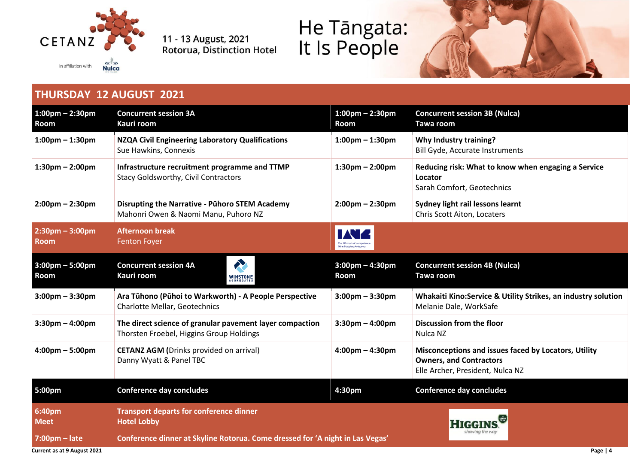

# He Tāngata:<br>It Is People



#### **THURSDAY 12 AUGUST 2021**

| $1:00$ pm – 2:30pm<br>Room                       | <b>Concurrent session 3A</b><br>Kauri room                                                           | $1:00 \text{pm} - 2:30 \text{pm}$<br><b>Room</b> | <b>Concurrent session 3B (Nulca)</b><br>Tawa room                                                                          |
|--------------------------------------------------|------------------------------------------------------------------------------------------------------|--------------------------------------------------|----------------------------------------------------------------------------------------------------------------------------|
| $1:00$ pm $- 1:30$ pm                            | NZQA Civil Engineering Laboratory Qualifications<br>Sue Hawkins, Connexis                            | $1:00$ pm – $1:30$ pm                            | Why Industry training?<br><b>Bill Gyde, Accurate Instruments</b>                                                           |
| $1:30$ pm – $2:00$ pm                            | Infrastructure recruitment programme and TTMP<br><b>Stacy Goldsworthy, Civil Contractors</b>         | $1:30$ pm – $2:00$ pm                            | Reducing risk: What to know when engaging a Service<br>Locator<br>Sarah Comfort, Geotechnics                               |
| $2:00 \text{pm} - 2:30 \text{pm}$                | <b>Disrupting the Narrative - Pühoro STEM Academy</b><br>Mahonri Owen & Naomi Manu, Puhoro NZ        | $2:00 \text{pm} - 2:30 \text{pm}$                | Sydney light rail lessons learnt<br>Chris Scott Aiton, Locaters                                                            |
| $2:30 \text{pm} - 3:00 \text{pm}$<br><b>Room</b> | <b>Afternoon break</b><br><b>Fenton Foyer</b>                                                        | he NZ mark of compe                              |                                                                                                                            |
| $3:00 \text{pm} - 5:00 \text{pm}$<br>Room        | R<br><b>Concurrent session 4A</b><br>Kauri room<br><b>WINSTONE</b><br>AGGREGATES                     | $3:00$ pm - 4:30pm<br><b>Room</b>                | <b>Concurrent session 4B (Nulca)</b><br>Tawa room                                                                          |
| $3:00$ pm – $3:30$ pm                            | Ara Tūhono (Pūhoi to Warkworth) - A People Perspective<br>Charlotte Mellar, Geotechnics              | $3:00$ pm – $3:30$ pm                            | Whakaiti Kino:Service & Utility Strikes, an industry solution<br>Melanie Dale, WorkSafe                                    |
| $3:30$ pm – 4:00pm                               | The direct science of granular pavement layer compaction<br>Thorsten Froebel, Higgins Group Holdings | $3:30$ pm $-4:00$ pm                             | Discussion from the floor<br>Nulca NZ                                                                                      |
| $4:00 \text{pm} - 5:00 \text{pm}$                | <b>CETANZ AGM (Drinks provided on arrival)</b><br>Danny Wyatt & Panel TBC                            | $4:00 \text{pm} - 4:30 \text{pm}$                | Misconceptions and issues faced by Locators, Utility<br><b>Owners, and Contractors</b><br>Elle Archer, President, Nulca NZ |
| 5:00pm                                           | <b>Conference day concludes</b>                                                                      | 4:30pm                                           | <b>Conference day concludes</b>                                                                                            |
| 6:40pm<br><b>Meet</b>                            | <b>Transport departs for conference dinner</b><br><b>Hotel Lobby</b>                                 |                                                  |                                                                                                                            |
| $7:00 \text{pm} - \text{late}$                   | showing the way<br>Conference dinner at Skyline Rotorua. Come dressed for 'A night in Las Vegas'     |                                                  |                                                                                                                            |

**Current as at 9 August 2021 Page | 4**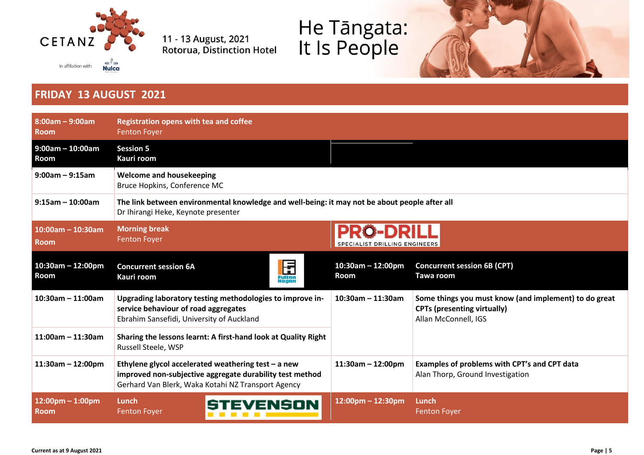

# He Tāngata:<br>It Is People



#### **FRIDAY 13 AUGUST 2021**

| $8:00am - 9:00am$<br><b>Room</b>    | <b>Registration opens with tea and coffee</b><br><b>Fenton Foyer</b>                                                                                                    |                               |                                                                                                                     |  |
|-------------------------------------|-------------------------------------------------------------------------------------------------------------------------------------------------------------------------|-------------------------------|---------------------------------------------------------------------------------------------------------------------|--|
| $9:00am - 10:00am$<br>Room          | <b>Session 5</b><br>Kauri room                                                                                                                                          |                               |                                                                                                                     |  |
| $9:00$ am - $9:15$ am               | <b>Welcome and housekeeping</b><br>Bruce Hopkins, Conference MC                                                                                                         |                               |                                                                                                                     |  |
| $9:15$ am - 10:00am                 | The link between environmental knowledge and well-being: it may not be about people after all<br>Dr Ihirangi Heke, Keynote presenter                                    |                               |                                                                                                                     |  |
| $10:00$ am - 10:30am<br><b>Room</b> | <b>Morning break</b><br><b>Fenton Foyer</b>                                                                                                                             | SPECIALIST DRILLING ENGINEERS |                                                                                                                     |  |
| $10:30$ am - 12:00pm<br>Room        | 日<br><sub>Fulton</sub><br><b>Concurrent session 6A</b><br>Kauri room                                                                                                    | $10:30$ am - 12:00pm<br>Room  | <b>Concurrent session 6B (CPT)</b><br>Tawa room                                                                     |  |
| $10:30$ am - 11:00am                | Upgrading laboratory testing methodologies to improve in-<br>service behaviour of road aggregates<br>Ebrahim Sansefidi, University of Auckland                          | $10:30$ am - 11:30am          | Some things you must know (and implement) to do great<br><b>CPTs (presenting virtually)</b><br>Allan McConnell, IGS |  |
| $11:00$ am - 11:30am                | Sharing the lessons learnt: A first-hand look at Quality Right<br>Russell Steele, WSP                                                                                   |                               |                                                                                                                     |  |
| $11:30am - 12:00pm$                 | Ethylene glycol accelerated weathering test $-$ a new<br>improved non-subjective aggregate durability test method<br>Gerhard Van Blerk, Waka Kotahi NZ Transport Agency | $11:30am - 12:00pm$           | Examples of problems with CPT's and CPT data<br>Alan Thorp, Ground Investigation                                    |  |
| $12:00$ pm - 1:00pm<br><b>Room</b>  | Lunch<br>/ENSON<br><b>Fenton Foyer</b>                                                                                                                                  | $12:00$ pm - 12:30pm          | Lunch<br><b>Fenton Foyer</b>                                                                                        |  |